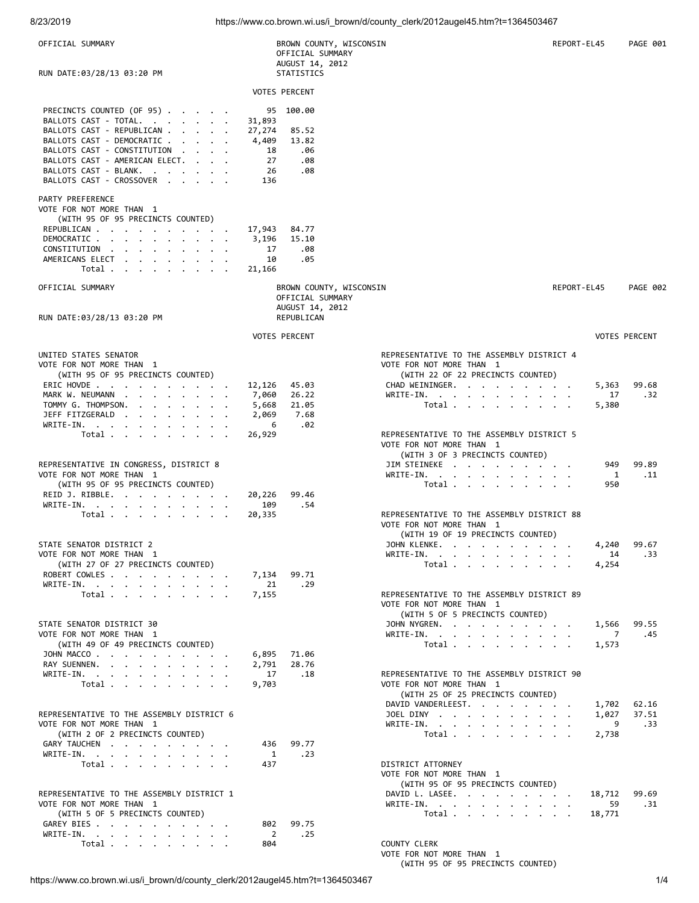| OFFICIAL SUMMARY                                                                                                                                                                                                                   |                                                    | BROWN COUNTY, WISCONSIN<br>OFFICIAL SUMMARY<br>AUGUST 14, 2012 |                                                                                                            | REPORT-EL45 |        | <b>PAGE 001</b>      |
|------------------------------------------------------------------------------------------------------------------------------------------------------------------------------------------------------------------------------------|----------------------------------------------------|----------------------------------------------------------------|------------------------------------------------------------------------------------------------------------|-------------|--------|----------------------|
| RUN DATE:03/28/13 03:20 PM                                                                                                                                                                                                         |                                                    | STATISTICS                                                     |                                                                                                            |             |        |                      |
|                                                                                                                                                                                                                                    |                                                    | <b>VOTES PERCENT</b>                                           |                                                                                                            |             |        |                      |
| PRECINCTS COUNTED (OF 95)<br>BALLOTS CAST - TOTAL.<br>BALLOTS CAST - REPUBLICAN<br>BALLOTS CAST - DEMOCRATIC<br>BALLOTS CAST - CONSTITUTION<br>BALLOTS CAST - AMERICAN ELECT.<br>BALLOTS CAST - BLANK.<br>BALLOTS CAST - CROSSOVER | 31,893<br>27,274<br>4,409<br>18<br>27<br>26<br>136 | 95 100.00<br>85.52<br>13.82<br>.06<br>.08<br>.08               |                                                                                                            |             |        |                      |
| PARTY PREFERENCE<br>VOTE FOR NOT MORE THAN 1                                                                                                                                                                                       |                                                    |                                                                |                                                                                                            |             |        |                      |
| (WITH 95 OF 95 PRECINCTS COUNTED)<br>REPUBLICAN<br>DEMOCRATIC<br>CONSTITUTION<br>AMERICANS ELECT<br>Total                                                                                                                          | 17,943<br>3,196<br>17<br>10<br>21,166              | 84.77<br>15.10<br>.08<br>.05                                   |                                                                                                            |             |        |                      |
| OFFICIAL SUMMARY                                                                                                                                                                                                                   |                                                    | BROWN COUNTY, WISCONSIN                                        |                                                                                                            | REPORT-EL45 |        | <b>PAGE 002</b>      |
| RUN DATE:03/28/13 03:20 PM                                                                                                                                                                                                         |                                                    | OFFICIAL SUMMARY<br>AUGUST 14, 2012<br>REPUBLICAN              |                                                                                                            |             |        |                      |
|                                                                                                                                                                                                                                    |                                                    | <b>VOTES PERCENT</b>                                           |                                                                                                            |             |        | <b>VOTES PERCENT</b> |
| UNITED STATES SENATOR<br>VOTE FOR NOT MORE THAN 1<br>(WITH 95 OF 95 PRECINCTS COUNTED)                                                                                                                                             |                                                    |                                                                | REPRESENTATIVE TO THE ASSEMBLY DISTRICT 4<br>VOTE FOR NOT MORE THAN 1<br>(WITH 22 OF 22 PRECINCTS COUNTED) |             |        |                      |
| ERIC HOVDE                                                                                                                                                                                                                         | 12,126                                             | 45.03                                                          | CHAD WEININGER.                                                                                            |             | 5,363  | 99.68                |
| MARK W. NEUMANN                                                                                                                                                                                                                    | 7,060                                              | 26.22                                                          | WRITE-IN.                                                                                                  |             | 17     | .32                  |
| TOMMY G. THOMPSON.<br>$\mathbf{r}$ , and $\mathbf{r}$ , and $\mathbf{r}$ , and $\mathbf{r}$                                                                                                                                        | 5,668                                              | 21.05                                                          | Total $\cdots$ $\cdots$ $\cdots$                                                                           |             | 5,380  |                      |
| JEFF FITZGERALD                                                                                                                                                                                                                    | 2,069                                              | 7.68                                                           |                                                                                                            |             |        |                      |
| WRITE-IN.                                                                                                                                                                                                                          | 6                                                  | .02                                                            |                                                                                                            |             |        |                      |
| Total $\cdots$ $\cdots$ $\cdots$                                                                                                                                                                                                   | 26,929                                             |                                                                | REPRESENTATIVE TO THE ASSEMBLY DISTRICT 5                                                                  |             |        |                      |
|                                                                                                                                                                                                                                    |                                                    |                                                                | VOTE FOR NOT MORE THAN 1                                                                                   |             |        |                      |
|                                                                                                                                                                                                                                    |                                                    |                                                                | (WITH 3 OF 3 PRECINCTS COUNTED)                                                                            |             |        |                      |
| REPRESENTATIVE IN CONGRESS, DISTRICT 8                                                                                                                                                                                             |                                                    |                                                                | JIM STEINEKE                                                                                               |             | 949    | 99.89                |
| VOTE FOR NOT MORE THAN 1                                                                                                                                                                                                           |                                                    |                                                                | WRITE-IN.                                                                                                  |             | 1      | .11                  |
| (WITH 95 OF 95 PRECINCTS COUNTED)                                                                                                                                                                                                  |                                                    |                                                                | Total $\cdots$ $\cdots$ $\cdots$                                                                           |             | 950    |                      |
| REID J. RIBBLE.                                                                                                                                                                                                                    | 20,226                                             | 99.46                                                          |                                                                                                            |             |        |                      |
| WRITE-IN.                                                                                                                                                                                                                          | 109                                                | .54                                                            |                                                                                                            |             |        |                      |
| Total                                                                                                                                                                                                                              | 20,335                                             |                                                                | REPRESENTATIVE TO THE ASSEMBLY DISTRICT 88                                                                 |             |        |                      |
|                                                                                                                                                                                                                                    |                                                    |                                                                | VOTE FOR NOT MORE THAN 1                                                                                   |             |        |                      |
|                                                                                                                                                                                                                                    |                                                    |                                                                | (WITH 19 OF 19 PRECINCTS COUNTED)                                                                          |             |        |                      |
| STATE SENATOR DISTRICT 2                                                                                                                                                                                                           |                                                    |                                                                | JOHN KLENKE.                                                                                               |             | 4,240  | 99.67                |
| VOTE FOR NOT MORE THAN 1                                                                                                                                                                                                           |                                                    |                                                                | WRITE-IN.                                                                                                  |             | 14     | .33                  |
| (WITH 27 OF 27 PRECINCTS COUNTED)                                                                                                                                                                                                  |                                                    |                                                                | Total                                                                                                      |             | 4,254  |                      |
| ROBERT COWLES                                                                                                                                                                                                                      | 7,134                                              | 99.71                                                          |                                                                                                            |             |        |                      |
| WRITE-IN, , , , , , , , , , ,                                                                                                                                                                                                      | 21                                                 | .29                                                            |                                                                                                            |             |        |                      |
| Total $\cdots$ $\cdots$ $\cdots$                                                                                                                                                                                                   | 7,155                                              |                                                                | REPRESENTATIVE TO THE ASSEMBLY DISTRICT 89                                                                 |             |        |                      |
|                                                                                                                                                                                                                                    |                                                    |                                                                | VOTE FOR NOT MORE THAN 1                                                                                   |             |        |                      |
|                                                                                                                                                                                                                                    |                                                    |                                                                | (WITH 5 OF 5 PRECINCTS COUNTED)                                                                            |             |        |                      |
| STATE SENATOR DISTRICT 30                                                                                                                                                                                                          |                                                    |                                                                | JOHN NYGREN.                                                                                               |             | 1,566  | 99.55                |
| VOTE FOR NOT MORE THAN 1                                                                                                                                                                                                           |                                                    |                                                                | WRITE-IN.                                                                                                  |             | 7      | .45                  |
| (WITH 49 OF 49 PRECINCTS COUNTED)                                                                                                                                                                                                  |                                                    |                                                                | Total                                                                                                      |             | 1,573  |                      |
| JOHN MACCO                                                                                                                                                                                                                         | 6,895                                              | 71.06                                                          |                                                                                                            |             |        |                      |
| RAY SUENNEN.                                                                                                                                                                                                                       | 2,791                                              | 28.76                                                          |                                                                                                            |             |        |                      |
| WRITE-IN.                                                                                                                                                                                                                          | 17                                                 | .18                                                            | REPRESENTATIVE TO THE ASSEMBLY DISTRICT 90                                                                 |             |        |                      |
| Total                                                                                                                                                                                                                              | 9,703                                              |                                                                | VOTE FOR NOT MORE THAN 1                                                                                   |             |        |                      |
|                                                                                                                                                                                                                                    |                                                    |                                                                | (WITH 25 OF 25 PRECINCTS COUNTED)                                                                          |             |        |                      |
|                                                                                                                                                                                                                                    |                                                    |                                                                | DAVID VANDERLEEST.                                                                                         |             | 1,702  | 62.16                |
| REPRESENTATIVE TO THE ASSEMBLY DISTRICT 6                                                                                                                                                                                          |                                                    |                                                                | JOEL DINY $\cdots$ $\cdots$ $\cdots$                                                                       |             | 1,027  | 37.51                |
| VOTE FOR NOT MORE THAN 1                                                                                                                                                                                                           |                                                    |                                                                | WRITE-IN.                                                                                                  |             | 9      | .33                  |
| (WITH 2 OF 2 PRECINCTS COUNTED)                                                                                                                                                                                                    |                                                    |                                                                | Total                                                                                                      |             | 2,738  |                      |
| GARY TAUCHEN                                                                                                                                                                                                                       | 436                                                | 99.77                                                          |                                                                                                            |             |        |                      |
| WRITE-IN.                                                                                                                                                                                                                          | 1                                                  | .23                                                            |                                                                                                            |             |        |                      |
| Total $\cdots$ $\cdots$ $\cdots$                                                                                                                                                                                                   | 437                                                |                                                                | DISTRICT ATTORNEY<br>VOTE FOR NOT MORE THAN 1<br>(WITH 95 OF 95 PRECINCTS COUNTED)                         |             |        |                      |
| REPRESENTATIVE TO THE ASSEMBLY DISTRICT 1                                                                                                                                                                                          |                                                    |                                                                | DAVID L. LASEE.                                                                                            |             | 18,712 | 99.69                |
| VOTE FOR NOT MORE THAN 1                                                                                                                                                                                                           |                                                    |                                                                | WRITE-IN.                                                                                                  |             | 59     | .31                  |
| (WITH 5 OF 5 PRECINCTS COUNTED)                                                                                                                                                                                                    |                                                    |                                                                | Total                                                                                                      |             | 18,771 |                      |
| GAREY BIES                                                                                                                                                                                                                         | 802                                                | 99.75                                                          |                                                                                                            |             |        |                      |
| WRITE-IN.                                                                                                                                                                                                                          | $\overline{2}$                                     | .25                                                            |                                                                                                            |             |        |                      |
| Total $\cdots$ $\cdots$ $\cdots$ $\cdots$                                                                                                                                                                                          | 804                                                |                                                                | COUNTY CLERK<br>VOTE FOR NOT MORE THAN 1                                                                   |             |        |                      |

https://www.co.brown.wi.us/i\_brown/d/county\_clerk/2012augel45.htm?t=1364503467

(WITH 95 OF 95 PRECINCTS COUNTED)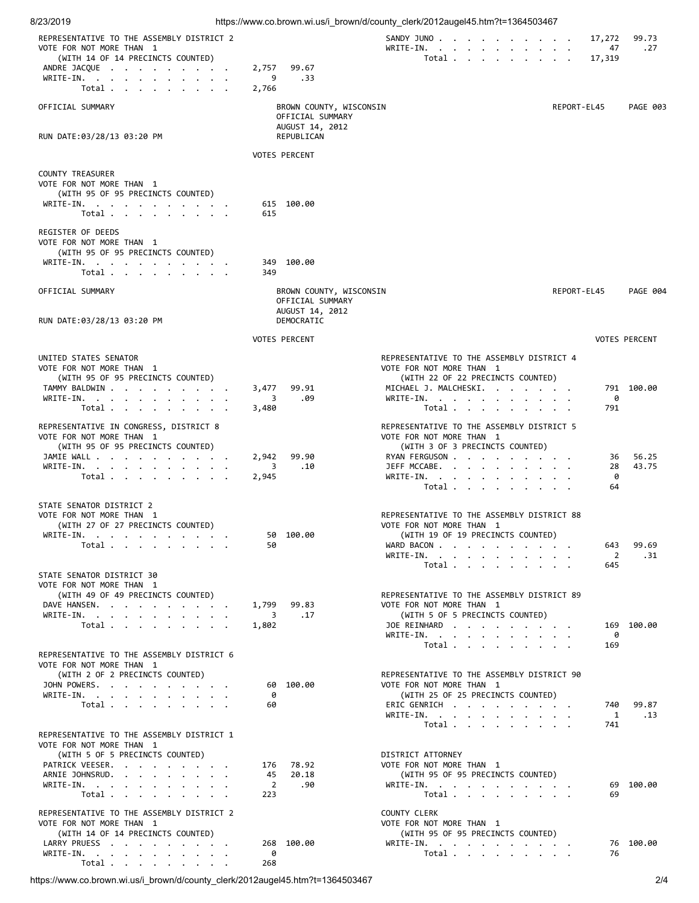| 8/23/2019                                                                                                                                   |                     |                                                                              | https://www.co.brown.wi.us/i_brown/d/county_clerk/2012augel45.htm?t=1364503467                                                                                  |             |                     |                      |
|---------------------------------------------------------------------------------------------------------------------------------------------|---------------------|------------------------------------------------------------------------------|-----------------------------------------------------------------------------------------------------------------------------------------------------------------|-------------|---------------------|----------------------|
| REPRESENTATIVE TO THE ASSEMBLY DISTRICT 2<br>VOTE FOR NOT MORE THAN 1                                                                       |                     |                                                                              | SANDY JUNO<br>WRITE-IN.                                                                                                                                         |             | 17,272<br>47        | 99.73<br>.27         |
| (WITH 14 OF 14 PRECINCTS COUNTED)                                                                                                           |                     |                                                                              | Total                                                                                                                                                           |             | 17,319              |                      |
| ANDRE JACQUE<br>WRITE-IN, , , , , , , , , , ,                                                                                               | 2,757<br>9          | 99.67<br>.33                                                                 |                                                                                                                                                                 |             |                     |                      |
| Total $\cdots$ $\cdots$ $\cdots$                                                                                                            | 2,766               |                                                                              |                                                                                                                                                                 |             |                     |                      |
| OFFICIAL SUMMARY                                                                                                                            |                     | BROWN COUNTY, WISCONSIN<br>OFFICIAL SUMMARY                                  |                                                                                                                                                                 | REPORT-EL45 |                     | PAGE 003             |
| RUN DATE:03/28/13 03:20 PM                                                                                                                  |                     | AUGUST 14, 2012<br>REPUBLICAN                                                |                                                                                                                                                                 |             |                     |                      |
|                                                                                                                                             |                     | <b>VOTES PERCENT</b>                                                         |                                                                                                                                                                 |             |                     |                      |
| <b>COUNTY TREASURER</b><br>VOTE FOR NOT MORE THAN 1<br>(WITH 95 OF 95 PRECINCTS COUNTED)<br>WRITE-IN.                                       |                     | 615 100.00                                                                   |                                                                                                                                                                 |             |                     |                      |
| Total $\cdots$ $\cdots$ $\cdots$                                                                                                            | 615                 |                                                                              |                                                                                                                                                                 |             |                     |                      |
| REGISTER OF DEEDS<br>VOTE FOR NOT MORE THAN 1<br>(WITH 95 OF 95 PRECINCTS COUNTED)                                                          |                     |                                                                              |                                                                                                                                                                 |             |                     |                      |
| WRITE-IN.<br>Total                                                                                                                          | 349                 | 349 100.00                                                                   |                                                                                                                                                                 |             |                     |                      |
|                                                                                                                                             |                     |                                                                              |                                                                                                                                                                 |             |                     |                      |
| OFFICIAL SUMMARY<br>RUN DATE:03/28/13 03:20 PM                                                                                              |                     | BROWN COUNTY, WISCONSIN<br>OFFICIAL SUMMARY<br>AUGUST 14, 2012<br>DEMOCRATIC |                                                                                                                                                                 | REPORT-EL45 |                     | PAGE 004             |
|                                                                                                                                             |                     |                                                                              |                                                                                                                                                                 |             |                     |                      |
|                                                                                                                                             |                     | <b>VOTES PERCENT</b>                                                         |                                                                                                                                                                 |             |                     | <b>VOTES PERCENT</b> |
| UNITED STATES SENATOR<br>VOTE FOR NOT MORE THAN 1<br>(WITH 95 OF 95 PRECINCTS COUNTED)<br>TAMMY BALDWIN                                     | 3,477               | 99.91                                                                        | REPRESENTATIVE TO THE ASSEMBLY DISTRICT 4<br>VOTE FOR NOT MORE THAN 1<br>(WITH 22 OF 22 PRECINCTS COUNTED)<br>MICHAEL J. MALCHESKI.                             |             |                     | 791 100.00           |
| WRITE-IN.                                                                                                                                   | 3                   | .09                                                                          | WRITE-IN.                                                                                                                                                       |             | 0                   |                      |
| Total                                                                                                                                       | 3,480               |                                                                              | Total                                                                                                                                                           |             | 791                 |                      |
| REPRESENTATIVE IN CONGRESS, DISTRICT 8<br>VOTE FOR NOT MORE THAN 1<br>(WITH 95 OF 95 PRECINCTS COUNTED)<br>JAMIE WALL<br>WRITE-IN.<br>Total | 2,942<br>3<br>2,945 | 99.90<br>.10                                                                 | REPRESENTATIVE TO THE ASSEMBLY DISTRICT 5<br>VOTE FOR NOT MORE THAN 1<br>(WITH 3 OF 3 PRECINCTS COUNTED)<br>RYAN FERGUSON<br>JEFF MCCABE.<br>WRITE-IN.<br>Total |             | 36<br>28<br>0<br>64 | 56.25<br>43.75       |
| STATE SENATOR DISTRICT 2<br>VOTE FOR NOT MORE THAN 1<br>(WITH 27 OF 27 PRECINCTS COUNTED)<br>WRITE-IN.<br>Total $\cdots$ $\cdots$ $\cdots$  | 50                  | 50 100.00                                                                    | REPRESENTATIVE TO THE ASSEMBLY DISTRICT 88<br>VOTE FOR NOT MORE THAN 1<br>(WITH 19 OF 19 PRECINCTS COUNTED)<br>WARD BACON<br>WRITE-IN.<br>Total                 |             | 643<br>2<br>645     | 99.69<br>.31         |
| STATE SENATOR DISTRICT 30<br>VOTE FOR NOT MORE THAN 1                                                                                       |                     |                                                                              |                                                                                                                                                                 |             |                     |                      |
| (WITH 49 OF 49 PRECINCTS COUNTED)                                                                                                           |                     |                                                                              | REPRESENTATIVE TO THE ASSEMBLY DISTRICT 89                                                                                                                      |             |                     |                      |
| DAVE HANSEN.                                                                                                                                | 1,799               | 99.83                                                                        | VOTE FOR NOT MORE THAN 1                                                                                                                                        |             |                     |                      |
| WRITE-IN.<br>Total $\cdots$ $\cdots$ $\cdots$                                                                                               | 3<br>1,802          | .17                                                                          | (WITH 5 OF 5 PRECINCTS COUNTED)<br>JOE REINHARD                                                                                                                 |             |                     | 169 100.00           |
|                                                                                                                                             |                     |                                                                              | WRITE-IN.                                                                                                                                                       |             | 0                   |                      |
| REPRESENTATIVE TO THE ASSEMBLY DISTRICT 6<br>VOTE FOR NOT MORE THAN 1<br>(WITH 2 OF 2 PRECINCTS COUNTED)                                    |                     |                                                                              | Total $\cdots$ $\cdots$ $\cdots$<br>REPRESENTATIVE TO THE ASSEMBLY DISTRICT 90                                                                                  |             | 169                 |                      |
| JOHN POWERS.                                                                                                                                |                     | 60 100.00                                                                    | VOTE FOR NOT MORE THAN 1                                                                                                                                        |             |                     |                      |
| WRITE-IN.                                                                                                                                   | 0                   |                                                                              | (WITH 25 OF 25 PRECINCTS COUNTED)                                                                                                                               |             |                     |                      |
| Total                                                                                                                                       | 60                  |                                                                              | ERIC GENRICH<br>WRITE-IN.                                                                                                                                       |             | 740<br>1            | 99.87<br>.13         |
|                                                                                                                                             |                     |                                                                              | Total                                                                                                                                                           |             | 741                 |                      |
| REPRESENTATIVE TO THE ASSEMBLY DISTRICT 1<br>VOTE FOR NOT MORE THAN 1<br>(WITH 5 OF 5 PRECINCTS COUNTED)                                    |                     |                                                                              | DISTRICT ATTORNEY                                                                                                                                               |             |                     |                      |
| PATRICK VEESER.                                                                                                                             | 176                 | 78.92                                                                        | VOTE FOR NOT MORE THAN 1                                                                                                                                        |             |                     |                      |
| ARNIE JOHNSRUD.                                                                                                                             | 45                  | 20.18                                                                        | (WITH 95 OF 95 PRECINCTS COUNTED)                                                                                                                               |             |                     |                      |
| WRITE-IN.<br>Total                                                                                                                          | 2<br>223            | .90                                                                          | WRITE-IN.<br>Total                                                                                                                                              |             | 69<br>69            | 100.00               |
|                                                                                                                                             |                     |                                                                              |                                                                                                                                                                 |             |                     |                      |
| REPRESENTATIVE TO THE ASSEMBLY DISTRICT 2<br>VOTE FOR NOT MORE THAN 1<br>(WITH 14 OF 14 PRECINCTS COUNTED)                                  |                     |                                                                              | <b>COUNTY CLERK</b><br>VOTE FOR NOT MORE THAN 1<br>(WITH 95 OF 95 PRECINCTS COUNTED)                                                                            |             |                     |                      |
| LARRY PRUESS                                                                                                                                |                     | 268 100.00                                                                   | WRITE-IN.                                                                                                                                                       |             |                     | 76 100.00            |
| WRITE-IN.                                                                                                                                   | 0                   |                                                                              | Total                                                                                                                                                           |             | 76                  |                      |
| Total $\cdots$ $\cdots$ $\cdots$                                                                                                            | 268                 |                                                                              |                                                                                                                                                                 |             |                     |                      |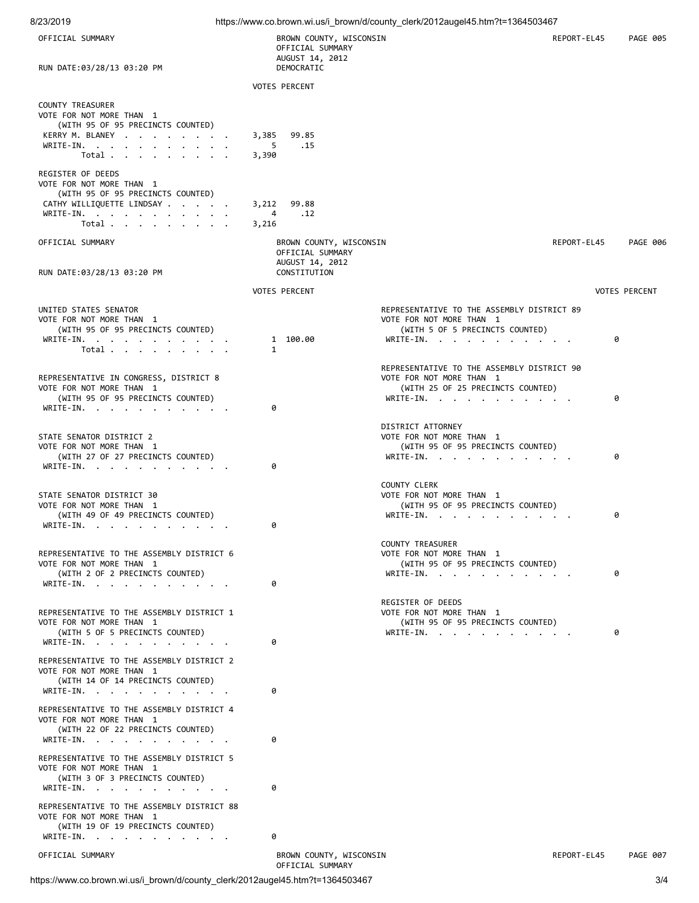| OFFICIAL SUMMARY                                                                                                                                                 | BROWN COUNTY, WISCONSIN<br>OFFICIAL SUMMARY<br>AUGUST 14, 2012                 |                                                                                                                          | REPORT-EL45 | <b>PAGE 005</b>      |
|------------------------------------------------------------------------------------------------------------------------------------------------------------------|--------------------------------------------------------------------------------|--------------------------------------------------------------------------------------------------------------------------|-------------|----------------------|
| RUN DATE:03/28/13 03:20 PM                                                                                                                                       | DEMOCRATIC<br><b>VOTES PERCENT</b>                                             |                                                                                                                          |             |                      |
| <b>COUNTY TREASURER</b><br>VOTE FOR NOT MORE THAN 1<br>(WITH 95 OF 95 PRECINCTS COUNTED)<br>KERRY M. BLANEY<br>WRITE-IN.<br>Total                                | 3,385<br>99.85<br>5<br>.15<br>3,390                                            |                                                                                                                          |             |                      |
| REGISTER OF DEEDS<br>VOTE FOR NOT MORE THAN 1<br>(WITH 95 OF 95 PRECINCTS COUNTED)<br>CATHY WILLIQUETTE LINDSAY<br>WRITE-IN.<br>Total $\cdots$ $\cdots$ $\cdots$ | 3,212<br>99.88<br>4<br>.12<br>3,216                                            |                                                                                                                          |             |                      |
| OFFICIAL SUMMARY<br>RUN DATE:03/28/13 03:20 PM                                                                                                                   | BROWN COUNTY, WISCONSIN<br>OFFICIAL SUMMARY<br>AUGUST 14, 2012<br>CONSTITUTION |                                                                                                                          | REPORT-EL45 | <b>PAGE 006</b>      |
|                                                                                                                                                                  | <b>VOTES PERCENT</b>                                                           |                                                                                                                          |             | <b>VOTES PERCENT</b> |
| UNITED STATES SENATOR<br>VOTE FOR NOT MORE THAN 1<br>(WITH 95 OF 95 PRECINCTS COUNTED)<br>WRITE-IN.<br>Total                                                     | 1 100.00<br>1                                                                  | REPRESENTATIVE TO THE ASSEMBLY DISTRICT 89<br>VOTE FOR NOT MORE THAN 1<br>(WITH 5 OF 5 PRECINCTS COUNTED)<br>WRITE-IN.   |             | 0                    |
| REPRESENTATIVE IN CONGRESS, DISTRICT 8<br>VOTE FOR NOT MORE THAN 1<br>(WITH 95 OF 95 PRECINCTS COUNTED)<br>WRITE-IN.                                             | 0                                                                              | REPRESENTATIVE TO THE ASSEMBLY DISTRICT 90<br>VOTE FOR NOT MORE THAN 1<br>(WITH 25 OF 25 PRECINCTS COUNTED)<br>WRITE-IN. |             | 0                    |
| STATE SENATOR DISTRICT 2<br>VOTE FOR NOT MORE THAN 1<br>(WITH 27 OF 27 PRECINCTS COUNTED)<br>WRITE-IN.                                                           | 0                                                                              | DISTRICT ATTORNEY<br>VOTE FOR NOT MORE THAN 1<br>(WITH 95 OF 95 PRECINCTS COUNTED)<br>WRITE-IN.                          |             | 0                    |
| STATE SENATOR DISTRICT 30<br>VOTE FOR NOT MORE THAN 1<br>(WITH 49 OF 49 PRECINCTS COUNTED)<br>WRITE-IN.                                                          | 0                                                                              | <b>COUNTY CLERK</b><br>VOTE FOR NOT MORE THAN 1<br>(WITH 95 OF 95 PRECINCTS COUNTED)<br>WRITE-IN.                        |             | 0                    |
| REPRESENTATIVE TO THE ASSEMBLY DISTRICT 6<br>VOTE FOR NOT MORE THAN 1<br>(WITH 2 OF 2 PRECINCTS COUNTED)<br>WRITE-IN.                                            | 0                                                                              | COUNTY TREASURER<br>VOTE FOR NOT MORE THAN 1<br>(WITH 95 OF 95 PRECINCTS COUNTED)<br>WRITE-IN.                           |             | 0                    |
| REPRESENTATIVE TO THE ASSEMBLY DISTRICT 1<br>VOTE FOR NOT MORE THAN 1<br>(WITH 5 OF 5 PRECINCTS COUNTED)<br>WRITE-IN.                                            | 0                                                                              | REGISTER OF DEEDS<br>VOTE FOR NOT MORE THAN 1<br>(WITH 95 OF 95 PRECINCTS COUNTED)<br>WRITE-IN.                          |             | 0                    |
| REPRESENTATIVE TO THE ASSEMBLY DISTRICT 2<br>VOTE FOR NOT MORE THAN 1<br>(WITH 14 OF 14 PRECINCTS COUNTED)<br>WRITE-IN.                                          | 0                                                                              |                                                                                                                          |             |                      |
| REPRESENTATIVE TO THE ASSEMBLY DISTRICT 4<br>VOTE FOR NOT MORE THAN 1<br>(WITH 22 OF 22 PRECINCTS COUNTED)<br>WRITE-IN.                                          | 0                                                                              |                                                                                                                          |             |                      |
| REPRESENTATIVE TO THE ASSEMBLY DISTRICT 5<br>VOTE FOR NOT MORE THAN 1<br>(WITH 3 OF 3 PRECINCTS COUNTED)<br>WRITE-IN.                                            | 0                                                                              |                                                                                                                          |             |                      |
| REPRESENTATIVE TO THE ASSEMBLY DISTRICT 88<br>VOTE FOR NOT MORE THAN 1<br>(WITH 19 OF 19 PRECINCTS COUNTED)<br>WRITE-IN.                                         | 0                                                                              |                                                                                                                          |             |                      |
| OFFICIAL SUMMARY                                                                                                                                                 | BROWN COUNTY, WISCONSIN<br>OFFICIAL SUMMARY                                    |                                                                                                                          | REPORT-EL45 | PAGE 007             |